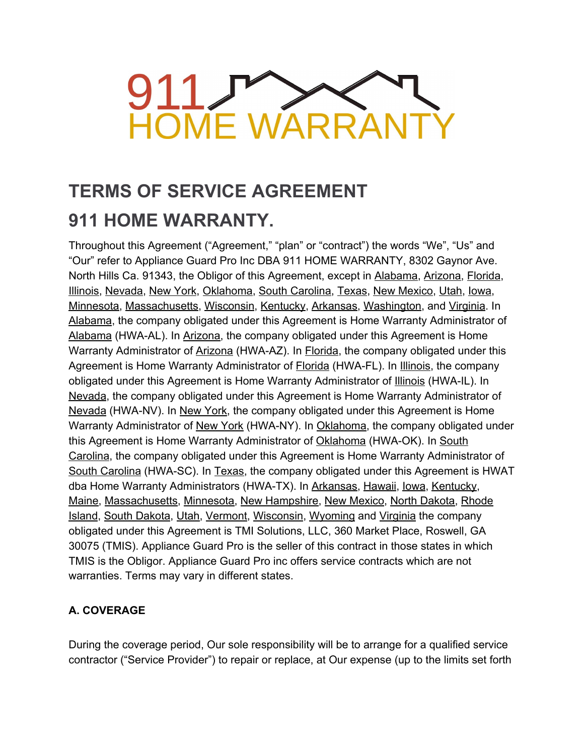# **911** HOME WARRAI

# **TERMS OF SERVICE AGREEMENT 911 HOME WARRANTY.**

Throughout this Agreement ("Agreement," "plan" or "contract") the words "We", "Us" and "Our" refer to Appliance Guard Pro Inc DBA 911 HOME WARRANTY, 8302 Gaynor Ave. North Hills Ca. 91343, the Obligor of this Agreement, except in Alabama, Arizona, Florida, Illinois, Nevada, New York, Oklahoma, South Carolina, Texas, New Mexico, Utah, Iowa, Minnesota, Massachusetts, Wisconsin, Kentucky, Arkansas, Washington, and Virginia. In Alabama, the company obligated under this Agreement is Home Warranty Administrator of Alabama (HWA-AL). In Arizona, the company obligated under this Agreement is Home Warranty Administrator of Arizona (HWA-AZ). In Florida, the company obligated under this Agreement is Home Warranty Administrator of **Florida** (HWA-FL). In Illinois, the company obligated under this Agreement is Home Warranty Administrator of Illinois (HWA-IL). In Nevada, the company obligated under this Agreement is Home Warranty Administrator of Nevada (HWA-NV). In New York, the company obligated under this Agreement is Home Warranty Administrator of New York (HWA-NY). In Oklahoma, the company obligated under this Agreement is Home Warranty Administrator of Oklahoma (HWA-OK). In South Carolina, the company obligated under this Agreement is Home Warranty Administrator of South Carolina (HWA-SC). In Texas, the company obligated under this Agreement is HWAT dba Home Warranty Administrators (HWA-TX). In Arkansas, Hawaii, Iowa, Kentucky, Maine, Massachusetts, Minnesota, New Hampshire, New Mexico, North Dakota, Rhode Island, South Dakota, Utah, Vermont, Wisconsin, Wyoming and Virginia the company obligated under this Agreement is TMI Solutions, LLC, 360 Market Place, Roswell, GA 30075 (TMIS). Appliance Guard Pro is the seller of this contract in those states in which TMIS is the Obligor. Appliance Guard Pro inc offers service contracts which are not warranties. Terms may vary in different states.

# **A. COVERAGE**

During the coverage period, Our sole responsibility will be to arrange for a qualified service contractor ("Service Provider") to repair or replace, at Our expense (up to the limits set forth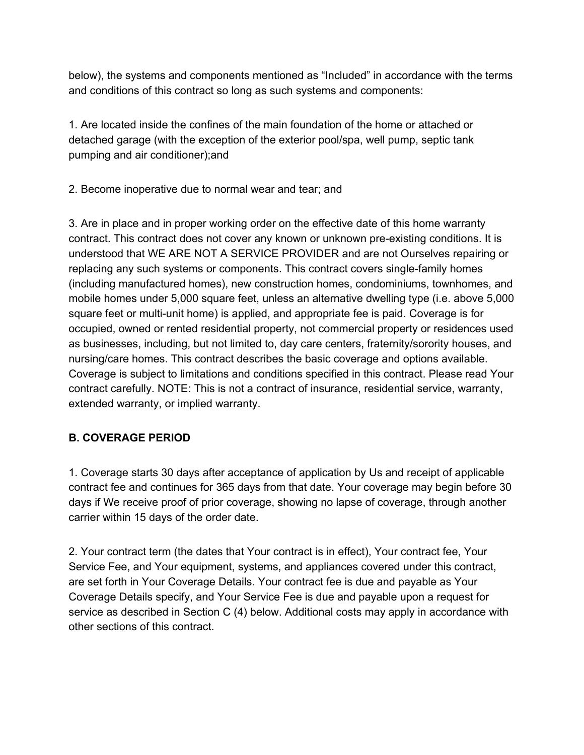below), the systems and components mentioned as "Included" in accordance with the terms and conditions of this contract so long as such systems and components:

1. Are located inside the confines of the main foundation of the home or attached or detached garage (with the exception of the exterior pool/spa, well pump, septic tank pumping and air conditioner);and

2. Become inoperative due to normal wear and tear; and

3. Are in place and in proper working order on the effective date of this home warranty contract. This contract does not cover any known or unknown pre-existing conditions. It is understood that WE ARE NOT A SERVICE PROVIDER and are not Ourselves repairing or replacing any such systems or components. This contract covers single-family homes (including manufactured homes), new construction homes, condominiums, townhomes, and mobile homes under 5,000 square feet, unless an alternative dwelling type (i.e. above 5,000 square feet or multi-unit home) is applied, and appropriate fee is paid. Coverage is for occupied, owned or rented residential property, not commercial property or residences used as businesses, including, but not limited to, day care centers, fraternity/sorority houses, and nursing/care homes. This contract describes the basic coverage and options available. Coverage is subject to limitations and conditions specified in this contract. Please read Your contract carefully. NOTE: This is not a contract of insurance, residential service, warranty, extended warranty, or implied warranty.

# **B. COVERAGE PERIOD**

1. Coverage starts 30 days after acceptance of application by Us and receipt of applicable contract fee and continues for 365 days from that date. Your coverage may begin before 30 days if We receive proof of prior coverage, showing no lapse of coverage, through another carrier within 15 days of the order date.

2. Your contract term (the dates that Your contract is in effect), Your contract fee, Your Service Fee, and Your equipment, systems, and appliances covered under this contract, are set forth in Your Coverage Details. Your contract fee is due and payable as Your Coverage Details specify, and Your Service Fee is due and payable upon a request for service as described in Section C (4) below. Additional costs may apply in accordance with other sections of this contract.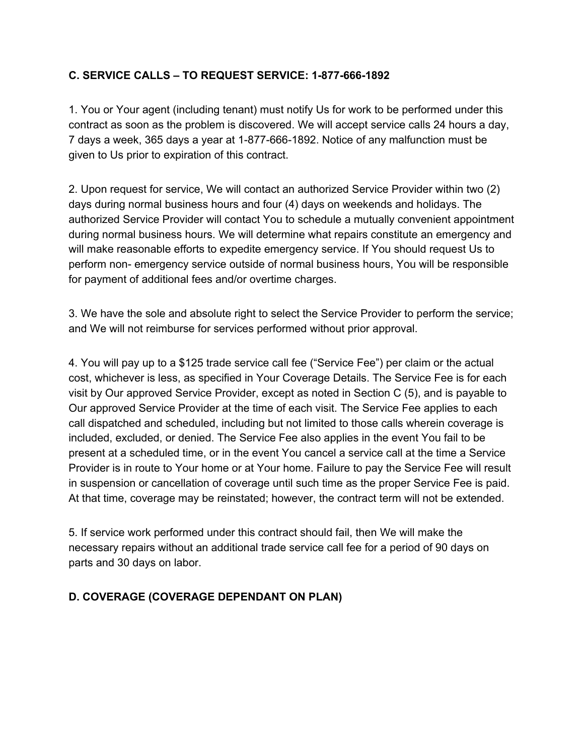# **C. SERVICE CALLS – TO REQUEST SERVICE: 1-877-666-1892**

1. You or Your agent (including tenant) must notify Us for work to be performed under this contract as soon as the problem is discovered. We will accept service calls 24 hours a day, 7 days a week, 365 days a year at 1-877-666-1892. Notice of any malfunction must be given to Us prior to expiration of this contract.

2. Upon request for service, We will contact an authorized Service Provider within two (2) days during normal business hours and four (4) days on weekends and holidays. The authorized Service Provider will contact You to schedule a mutually convenient appointment during normal business hours. We will determine what repairs constitute an emergency and will make reasonable efforts to expedite emergency service. If You should request Us to perform non- emergency service outside of normal business hours, You will be responsible for payment of additional fees and/or overtime charges.

3. We have the sole and absolute right to select the Service Provider to perform the service; and We will not reimburse for services performed without prior approval.

4. You will pay up to a \$125 trade service call fee ("Service Fee") per claim or the actual cost, whichever is less, as specified in Your Coverage Details. The Service Fee is for each visit by Our approved Service Provider, except as noted in Section C (5), and is payable to Our approved Service Provider at the time of each visit. The Service Fee applies to each call dispatched and scheduled, including but not limited to those calls wherein coverage is included, excluded, or denied. The Service Fee also applies in the event You fail to be present at a scheduled time, or in the event You cancel a service call at the time a Service Provider is in route to Your home or at Your home. Failure to pay the Service Fee will result in suspension or cancellation of coverage until such time as the proper Service Fee is paid. At that time, coverage may be reinstated; however, the contract term will not be extended.

5. If service work performed under this contract should fail, then We will make the necessary repairs without an additional trade service call fee for a period of 90 days on parts and 30 days on labor.

## **D. COVERAGE (COVERAGE DEPENDANT ON PLAN)**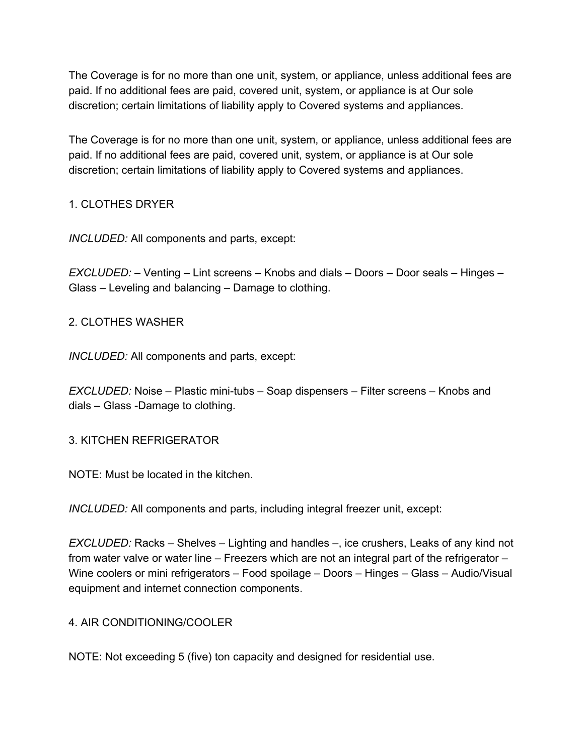The Coverage is for no more than one unit, system, or appliance, unless additional fees are paid. If no additional fees are paid, covered unit, system, or appliance is at Our sole discretion; certain limitations of liability apply to Covered systems and appliances.

The Coverage is for no more than one unit, system, or appliance, unless additional fees are paid. If no additional fees are paid, covered unit, system, or appliance is at Our sole discretion; certain limitations of liability apply to Covered systems and appliances.

# 1. CLOTHES DRYER

*INCLUDED:* All components and parts, except:

*EXCLUDED:* – Venting – Lint screens – Knobs and dials – Doors – Door seals – Hinges – Glass – Leveling and balancing – Damage to clothing.

## 2. CLOTHES WASHER

*INCLUDED:* All components and parts, except:

*EXCLUDED:* Noise – Plastic mini-tubs – Soap dispensers – Filter screens – Knobs and dials – Glass -Damage to clothing.

## 3. KITCHEN REFRIGERATOR

NOTE: Must be located in the kitchen.

*INCLUDED:* All components and parts, including integral freezer unit, except:

*EXCLUDED:* Racks – Shelves – Lighting and handles –, ice crushers, Leaks of any kind not from water valve or water line – Freezers which are not an integral part of the refrigerator – Wine coolers or mini refrigerators – Food spoilage – Doors – Hinges – Glass – Audio/Visual equipment and internet connection components.

## 4. AIR CONDITIONING/COOLER

NOTE: Not exceeding 5 (five) ton capacity and designed for residential use.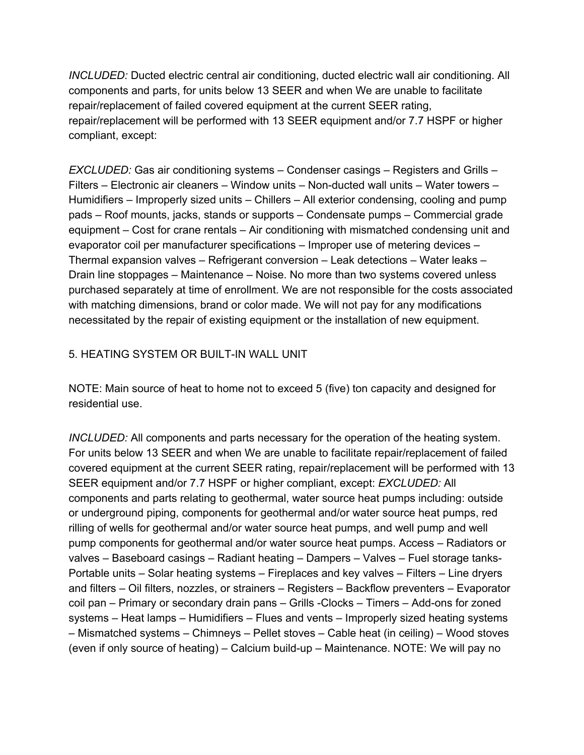*INCLUDED:* Ducted electric central air conditioning, ducted electric wall air conditioning. All components and parts, for units below 13 SEER and when We are unable to facilitate repair/replacement of failed covered equipment at the current SEER rating, repair/replacement will be performed with 13 SEER equipment and/or 7.7 HSPF or higher compliant, except:

*EXCLUDED:* Gas air conditioning systems – Condenser casings – Registers and Grills – Filters – Electronic air cleaners – Window units – Non-ducted wall units – Water towers – Humidifiers – Improperly sized units – Chillers – All exterior condensing, cooling and pump pads – Roof mounts, jacks, stands or supports – Condensate pumps – Commercial grade equipment – Cost for crane rentals – Air conditioning with mismatched condensing unit and evaporator coil per manufacturer specifications – Improper use of metering devices – Thermal expansion valves – Refrigerant conversion – Leak detections – Water leaks – Drain line stoppages – Maintenance – Noise. No more than two systems covered unless purchased separately at time of enrollment. We are not responsible for the costs associated with matching dimensions, brand or color made. We will not pay for any modifications necessitated by the repair of existing equipment or the installation of new equipment.

## 5. HEATING SYSTEM OR BUILT-IN WALL UNIT

NOTE: Main source of heat to home not to exceed 5 (five) ton capacity and designed for residential use.

*INCLUDED:* All components and parts necessary for the operation of the heating system. For units below 13 SEER and when We are unable to facilitate repair/replacement of failed covered equipment at the current SEER rating, repair/replacement will be performed with 13 SEER equipment and/or 7.7 HSPF or higher compliant, except: *EXCLUDED:* All components and parts relating to geothermal, water source heat pumps including: outside or underground piping, components for geothermal and/or water source heat pumps, red rilling of wells for geothermal and/or water source heat pumps, and well pump and well pump components for geothermal and/or water source heat pumps. Access – Radiators or valves – Baseboard casings – Radiant heating – Dampers – Valves – Fuel storage tanks-Portable units – Solar heating systems – Fireplaces and key valves – Filters – Line dryers and filters – Oil filters, nozzles, or strainers – Registers – Backflow preventers – Evaporator coil pan – Primary or secondary drain pans – Grills -Clocks – Timers – Add-ons for zoned systems – Heat lamps – Humidifiers – Flues and vents – Improperly sized heating systems – Mismatched systems – Chimneys – Pellet stoves – Cable heat (in ceiling) – Wood stoves (even if only source of heating) – Calcium build-up – Maintenance. NOTE: We will pay no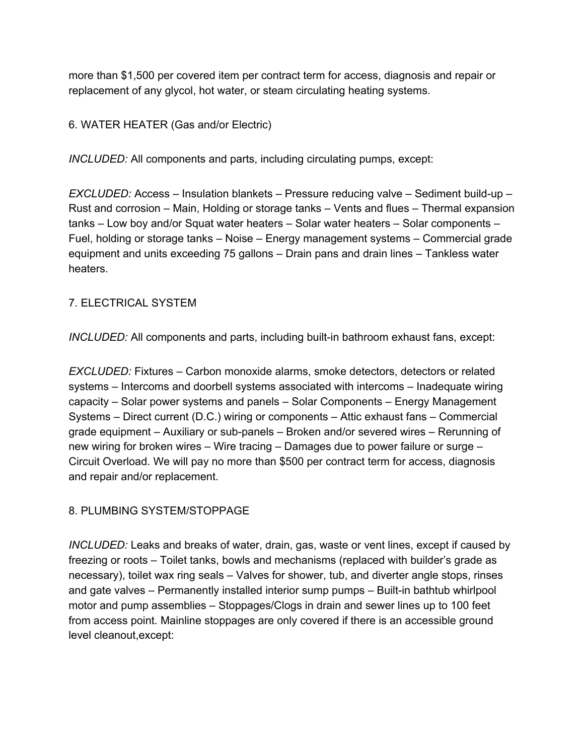more than \$1,500 per covered item per contract term for access, diagnosis and repair or replacement of any glycol, hot water, or steam circulating heating systems.

6. WATER HEATER (Gas and/or Electric)

*INCLUDED:* All components and parts, including circulating pumps, except:

*EXCLUDED:* Access – Insulation blankets – Pressure reducing valve – Sediment build-up – Rust and corrosion – Main, Holding or storage tanks – Vents and flues – Thermal expansion tanks – Low boy and/or Squat water heaters – Solar water heaters – Solar components – Fuel, holding or storage tanks – Noise – Energy management systems – Commercial grade equipment and units exceeding 75 gallons – Drain pans and drain lines – Tankless water heaters.

# 7. ELECTRICAL SYSTEM

*INCLUDED:* All components and parts, including built-in bathroom exhaust fans, except:

*EXCLUDED:* Fixtures – Carbon monoxide alarms, smoke detectors, detectors or related systems – Intercoms and doorbell systems associated with intercoms – Inadequate wiring capacity – Solar power systems and panels – Solar Components – Energy Management Systems – Direct current (D.C.) wiring or components – Attic exhaust fans – Commercial grade equipment – Auxiliary or sub-panels – Broken and/or severed wires – Rerunning of new wiring for broken wires – Wire tracing – Damages due to power failure or surge – Circuit Overload. We will pay no more than \$500 per contract term for access, diagnosis and repair and/or replacement.

## 8. PLUMBING SYSTEM/STOPPAGE

*INCLUDED:* Leaks and breaks of water, drain, gas, waste or vent lines, except if caused by freezing or roots – Toilet tanks, bowls and mechanisms (replaced with builder's grade as necessary), toilet wax ring seals – Valves for shower, tub, and diverter angle stops, rinses and gate valves – Permanently installed interior sump pumps – Built-in bathtub whirlpool motor and pump assemblies – Stoppages/Clogs in drain and sewer lines up to 100 feet from access point. Mainline stoppages are only covered if there is an accessible ground level cleanout,except: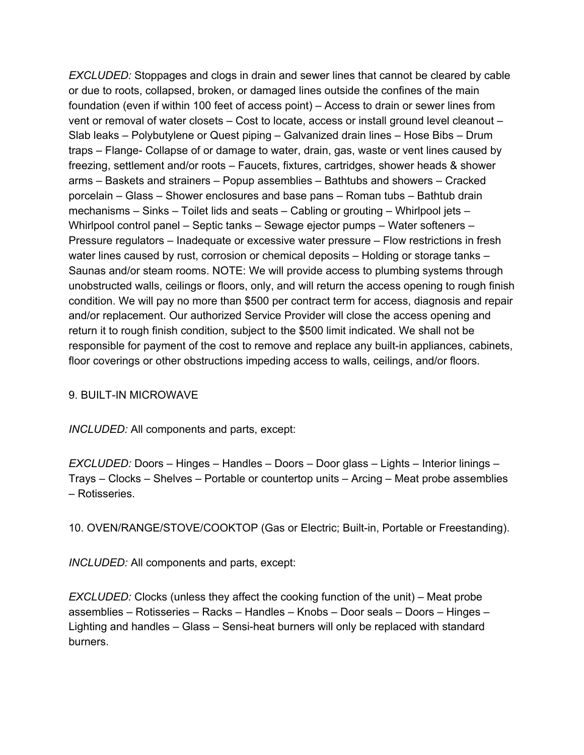*EXCLUDED:* Stoppages and clogs in drain and sewer lines that cannot be cleared by cable or due to roots, collapsed, broken, or damaged lines outside the confines of the main foundation (even if within 100 feet of access point) – Access to drain or sewer lines from vent or removal of water closets – Cost to locate, access or install ground level cleanout – Slab leaks – Polybutylene or Quest piping – Galvanized drain lines – Hose Bibs – Drum traps – Flange- Collapse of or damage to water, drain, gas, waste or vent lines caused by freezing, settlement and/or roots – Faucets, fixtures, cartridges, shower heads & shower arms – Baskets and strainers – Popup assemblies – Bathtubs and showers – Cracked porcelain – Glass – Shower enclosures and base pans – Roman tubs – Bathtub drain mechanisms – Sinks – Toilet lids and seats – Cabling or grouting – Whirlpool jets – Whirlpool control panel – Septic tanks – Sewage ejector pumps – Water softeners – Pressure regulators – Inadequate or excessive water pressure – Flow restrictions in fresh water lines caused by rust, corrosion or chemical deposits - Holding or storage tanks -Saunas and/or steam rooms. NOTE: We will provide access to plumbing systems through unobstructed walls, ceilings or floors, only, and will return the access opening to rough finish condition. We will pay no more than \$500 per contract term for access, diagnosis and repair and/or replacement. Our authorized Service Provider will close the access opening and return it to rough finish condition, subject to the \$500 limit indicated. We shall not be responsible for payment of the cost to remove and replace any built-in appliances, cabinets, floor coverings or other obstructions impeding access to walls, ceilings, and/or floors.

## 9. BUILT-IN MICROWAVE

*INCLUDED:* All components and parts, except:

*EXCLUDED:* Doors – Hinges – Handles – Doors – Door glass – Lights – Interior linings – Trays – Clocks – Shelves – Portable or countertop units – Arcing – Meat probe assemblies – Rotisseries.

10. OVEN/RANGE/STOVE/COOKTOP (Gas or Electric; Built-in, Portable or Freestanding).

*INCLUDED:* All components and parts, except:

*EXCLUDED:* Clocks (unless they affect the cooking function of the unit) – Meat probe assemblies – Rotisseries – Racks – Handles – Knobs – Door seals – Doors – Hinges – Lighting and handles – Glass – Sensi-heat burners will only be replaced with standard burners.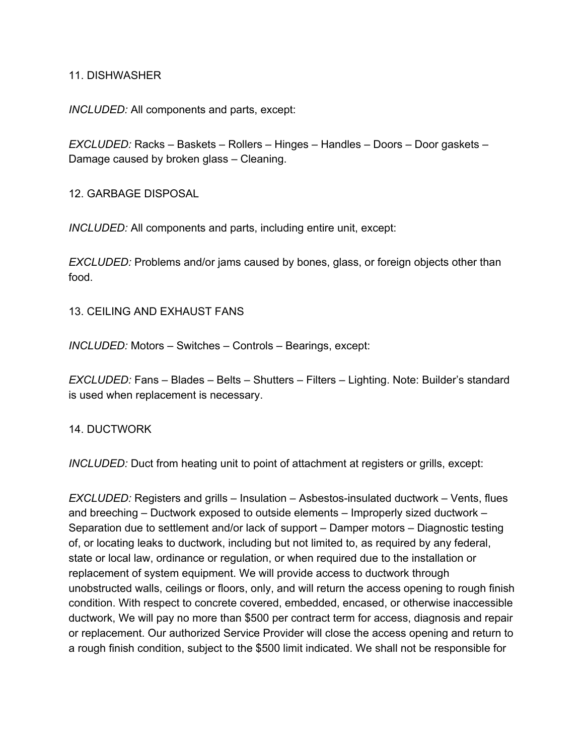#### 11. DISHWASHER

*INCLUDED:* All components and parts, except:

*EXCLUDED:* Racks – Baskets – Rollers – Hinges – Handles – Doors – Door gaskets – Damage caused by broken glass – Cleaning.

12. GARBAGE DISPOSAL

*INCLUDED:* All components and parts, including entire unit, except:

*EXCLUDED:* Problems and/or jams caused by bones, glass, or foreign objects other than food.

13. CEILING AND EXHAUST FANS

*INCLUDED:* Motors – Switches – Controls – Bearings, except:

*EXCLUDED:* Fans – Blades – Belts – Shutters – Filters – Lighting. Note: Builder's standard is used when replacement is necessary.

14. DUCTWORK

*INCLUDED:* Duct from heating unit to point of attachment at registers or grills, except:

*EXCLUDED:* Registers and grills – Insulation – Asbestos-insulated ductwork – Vents, flues and breeching – Ductwork exposed to outside elements – Improperly sized ductwork – Separation due to settlement and/or lack of support – Damper motors – Diagnostic testing of, or locating leaks to ductwork, including but not limited to, as required by any federal, state or local law, ordinance or regulation, or when required due to the installation or replacement of system equipment. We will provide access to ductwork through unobstructed walls, ceilings or floors, only, and will return the access opening to rough finish condition. With respect to concrete covered, embedded, encased, or otherwise inaccessible ductwork, We will pay no more than \$500 per contract term for access, diagnosis and repair or replacement. Our authorized Service Provider will close the access opening and return to a rough finish condition, subject to the \$500 limit indicated. We shall not be responsible for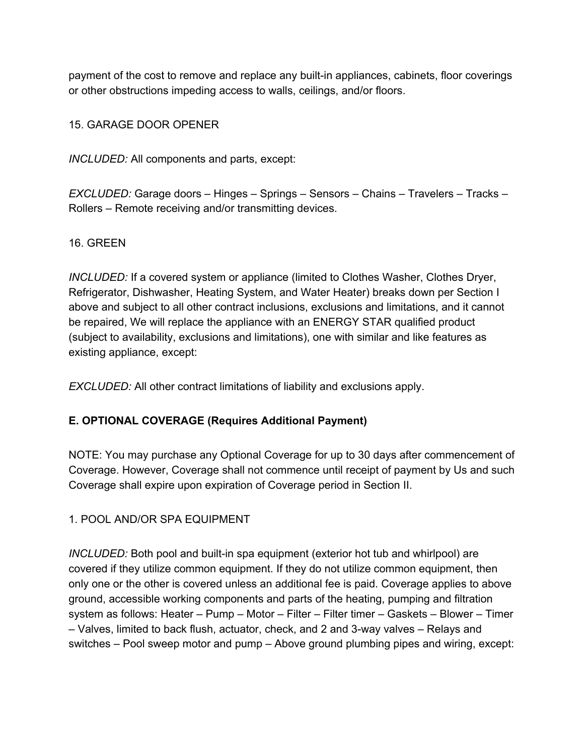payment of the cost to remove and replace any built-in appliances, cabinets, floor coverings or other obstructions impeding access to walls, ceilings, and/or floors.

15. GARAGE DOOR OPENER

*INCLUDED:* All components and parts, except:

*EXCLUDED:* Garage doors – Hinges – Springs – Sensors – Chains – Travelers – Tracks – Rollers – Remote receiving and/or transmitting devices.

# 16. GREEN

*INCLUDED:* If a covered system or appliance (limited to Clothes Washer, Clothes Dryer, Refrigerator, Dishwasher, Heating System, and Water Heater) breaks down per Section I above and subject to all other contract inclusions, exclusions and limitations, and it cannot be repaired, We will replace the appliance with an ENERGY STAR qualified product (subject to availability, exclusions and limitations), one with similar and like features as existing appliance, except:

*EXCLUDED:* All other contract limitations of liability and exclusions apply.

# **E. OPTIONAL COVERAGE (Requires Additional Payment)**

NOTE: You may purchase any Optional Coverage for up to 30 days after commencement of Coverage. However, Coverage shall not commence until receipt of payment by Us and such Coverage shall expire upon expiration of Coverage period in Section II.

1. POOL AND/OR SPA EQUIPMENT

*INCLUDED:* Both pool and built-in spa equipment (exterior hot tub and whirlpool) are covered if they utilize common equipment. If they do not utilize common equipment, then only one or the other is covered unless an additional fee is paid. Coverage applies to above ground, accessible working components and parts of the heating, pumping and filtration system as follows: Heater – Pump – Motor – Filter – Filter timer – Gaskets – Blower – Timer – Valves, limited to back flush, actuator, check, and 2 and 3-way valves – Relays and switches – Pool sweep motor and pump – Above ground plumbing pipes and wiring, except: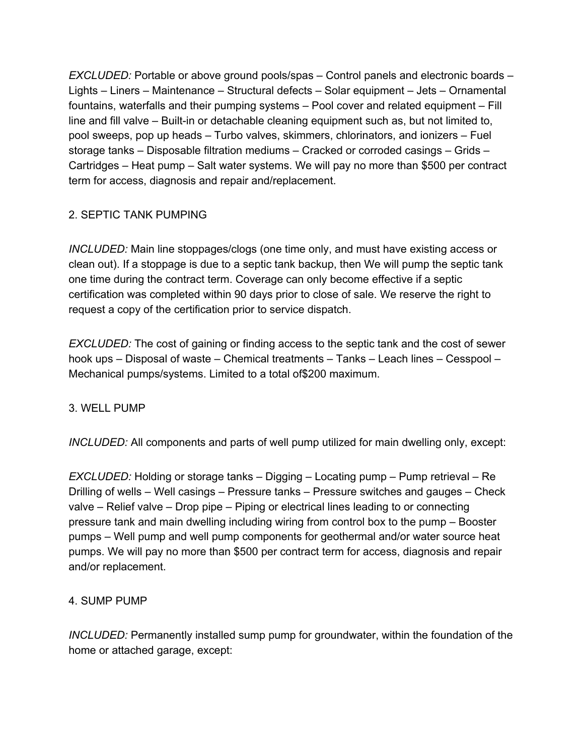*EXCLUDED:* Portable or above ground pools/spas – Control panels and electronic boards – Lights – Liners – Maintenance – Structural defects – Solar equipment – Jets – Ornamental fountains, waterfalls and their pumping systems – Pool cover and related equipment – Fill line and fill valve – Built-in or detachable cleaning equipment such as, but not limited to, pool sweeps, pop up heads – Turbo valves, skimmers, chlorinators, and ionizers – Fuel storage tanks – Disposable filtration mediums – Cracked or corroded casings – Grids – Cartridges – Heat pump – Salt water systems. We will pay no more than \$500 per contract term for access, diagnosis and repair and/replacement.

# 2. SEPTIC TANK PUMPING

*INCLUDED:* Main line stoppages/clogs (one time only, and must have existing access or clean out). If a stoppage is due to a septic tank backup, then We will pump the septic tank one time during the contract term. Coverage can only become effective if a septic certification was completed within 90 days prior to close of sale. We reserve the right to request a copy of the certification prior to service dispatch.

*EXCLUDED:* The cost of gaining or finding access to the septic tank and the cost of sewer hook ups – Disposal of waste – Chemical treatments – Tanks – Leach lines – Cesspool – Mechanical pumps/systems. Limited to a total of\$200 maximum.

## 3. WELL PUMP

*INCLUDED:* All components and parts of well pump utilized for main dwelling only, except:

*EXCLUDED:* Holding or storage tanks – Digging – Locating pump – Pump retrieval – Re Drilling of wells – Well casings – Pressure tanks – Pressure switches and gauges – Check valve – Relief valve – Drop pipe – Piping or electrical lines leading to or connecting pressure tank and main dwelling including wiring from control box to the pump – Booster pumps – Well pump and well pump components for geothermal and/or water source heat pumps. We will pay no more than \$500 per contract term for access, diagnosis and repair and/or replacement.

## 4. SUMP PUMP

*INCLUDED:* Permanently installed sump pump for groundwater, within the foundation of the home or attached garage, except: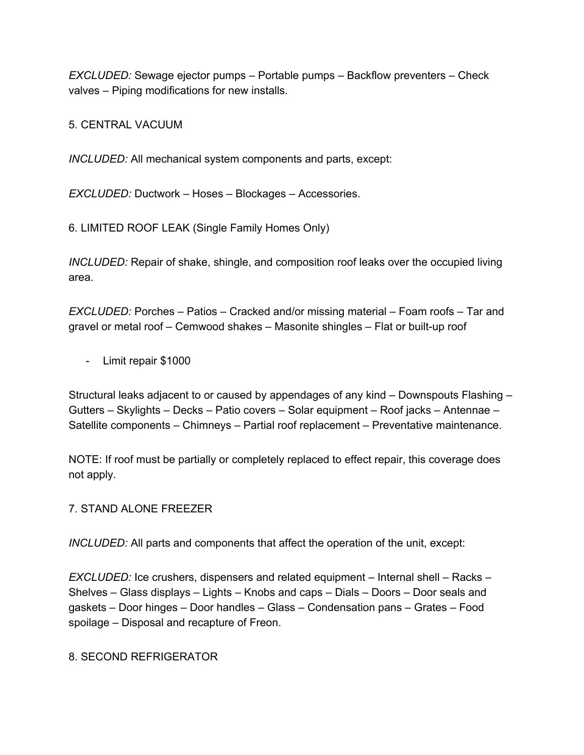*EXCLUDED:* Sewage ejector pumps – Portable pumps – Backflow preventers – Check valves – Piping modifications for new installs.

5. CENTRAL VACUUM

*INCLUDED:* All mechanical system components and parts, except:

*EXCLUDED:* Ductwork – Hoses – Blockages – Accessories.

6. LIMITED ROOF LEAK (Single Family Homes Only)

*INCLUDED:* Repair of shake, shingle, and composition roof leaks over the occupied living area.

*EXCLUDED:* Porches – Patios – Cracked and/or missing material – Foam roofs – Tar and gravel or metal roof – Cemwood shakes – Masonite shingles – Flat or built-up roof

- Limit repair \$1000

Structural leaks adjacent to or caused by appendages of any kind – Downspouts Flashing – Gutters – Skylights – Decks – Patio covers – Solar equipment – Roof jacks – Antennae – Satellite components – Chimneys – Partial roof replacement – Preventative maintenance.

NOTE: If roof must be partially or completely replaced to effect repair, this coverage does not apply.

## 7. STAND ALONE FREEZER

*INCLUDED:* All parts and components that affect the operation of the unit, except:

*EXCLUDED:* Ice crushers, dispensers and related equipment – Internal shell – Racks – Shelves – Glass displays – Lights – Knobs and caps – Dials – Doors – Door seals and gaskets – Door hinges – Door handles – Glass – Condensation pans – Grates – Food spoilage – Disposal and recapture of Freon.

## 8. SECOND REFRIGERATOR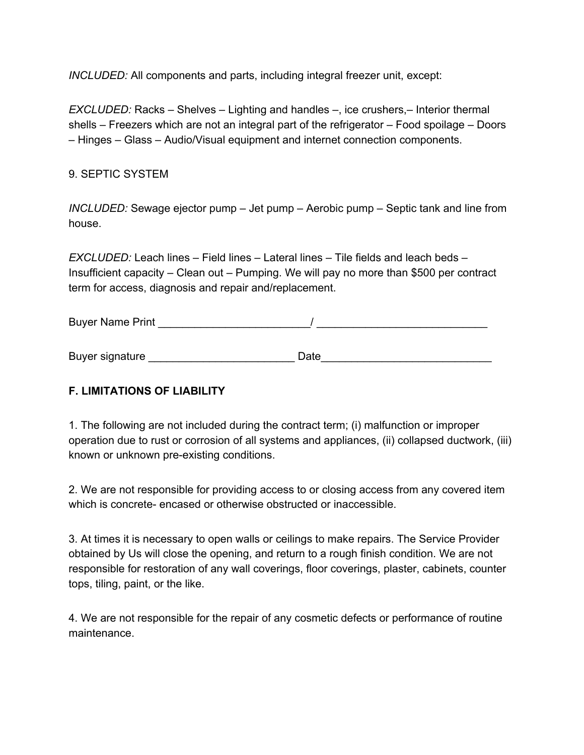*INCLUDED:* All components and parts, including integral freezer unit, except:

*EXCLUDED:* Racks – Shelves – Lighting and handles –, ice crushers,– Interior thermal shells – Freezers which are not an integral part of the refrigerator – Food spoilage – Doors – Hinges – Glass – Audio/Visual equipment and internet connection components.

# 9. SEPTIC SYSTEM

*INCLUDED:* Sewage ejector pump – Jet pump – Aerobic pump – Septic tank and line from house.

*EXCLUDED:* Leach lines – Field lines – Lateral lines – Tile fields and leach beds – Insufficient capacity – Clean out – Pumping. We will pay no more than \$500 per contract term for access, diagnosis and repair and/replacement.

Buyer Name Print \_\_\_\_\_\_\_\_\_\_\_\_\_\_\_\_\_\_\_\_\_\_\_\_\_/ \_\_\_\_\_\_\_\_\_\_\_\_\_\_\_\_\_\_\_\_\_\_\_\_\_\_\_\_

Buyer signature **Example 20** and 20 and 20 and 20 and 20 and 20 and 20 and 20 and 20 and 20 and 20 and 20 and 20 and 20 and 20 and 20 and 20 and 20 and 20 and 20 and 20 and 20 and 20 and 20 and 20 and 20 and 20 and 20 and

# **F. LIMITATIONS OF LIABILITY**

1. The following are not included during the contract term; (i) malfunction or improper operation due to rust or corrosion of all systems and appliances, (ii) collapsed ductwork, (iii) known or unknown pre-existing conditions.

2. We are not responsible for providing access to or closing access from any covered item which is concrete- encased or otherwise obstructed or inaccessible.

3. At times it is necessary to open walls or ceilings to make repairs. The Service Provider obtained by Us will close the opening, and return to a rough finish condition. We are not responsible for restoration of any wall coverings, floor coverings, plaster, cabinets, counter tops, tiling, paint, or the like.

4. We are not responsible for the repair of any cosmetic defects or performance of routine maintenance.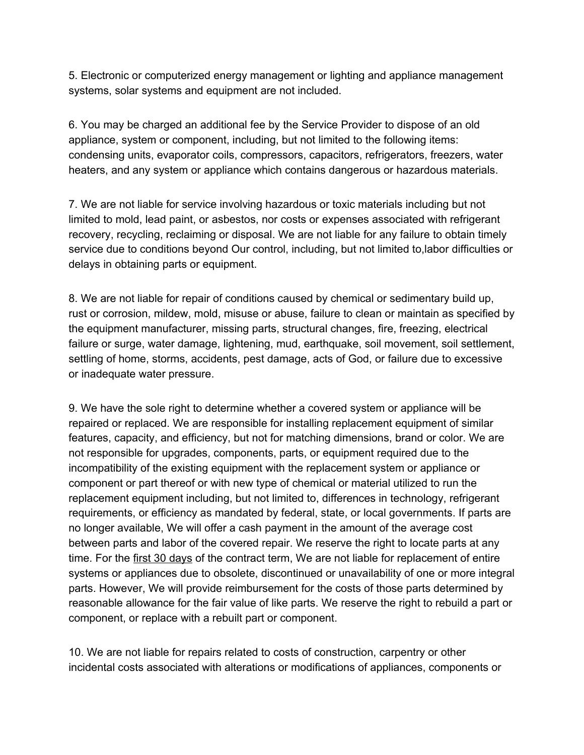5. Electronic or computerized energy management or lighting and appliance management systems, solar systems and equipment are not included.

6. You may be charged an additional fee by the Service Provider to dispose of an old appliance, system or component, including, but not limited to the following items: condensing units, evaporator coils, compressors, capacitors, refrigerators, freezers, water heaters, and any system or appliance which contains dangerous or hazardous materials.

7. We are not liable for service involving hazardous or toxic materials including but not limited to mold, lead paint, or asbestos, nor costs or expenses associated with refrigerant recovery, recycling, reclaiming or disposal. We are not liable for any failure to obtain timely service due to conditions beyond Our control, including, but not limited to,labor difficulties or delays in obtaining parts or equipment.

8. We are not liable for repair of conditions caused by chemical or sedimentary build up, rust or corrosion, mildew, mold, misuse or abuse, failure to clean or maintain as specified by the equipment manufacturer, missing parts, structural changes, fire, freezing, electrical failure or surge, water damage, lightening, mud, earthquake, soil movement, soil settlement, settling of home, storms, accidents, pest damage, acts of God, or failure due to excessive or inadequate water pressure.

9. We have the sole right to determine whether a covered system or appliance will be repaired or replaced. We are responsible for installing replacement equipment of similar features, capacity, and efficiency, but not for matching dimensions, brand or color. We are not responsible for upgrades, components, parts, or equipment required due to the incompatibility of the existing equipment with the replacement system or appliance or component or part thereof or with new type of chemical or material utilized to run the replacement equipment including, but not limited to, differences in technology, refrigerant requirements, or efficiency as mandated by federal, state, or local governments. If parts are no longer available, We will offer a cash payment in the amount of the average cost between parts and labor of the covered repair. We reserve the right to locate parts at any time. For the first 30 days of the contract term, We are not liable for replacement of entire systems or appliances due to obsolete, discontinued or unavailability of one or more integral parts. However, We will provide reimbursement for the costs of those parts determined by reasonable allowance for the fair value of like parts. We reserve the right to rebuild a part or component, or replace with a rebuilt part or component.

10. We are not liable for repairs related to costs of construction, carpentry or other incidental costs associated with alterations or modifications of appliances, components or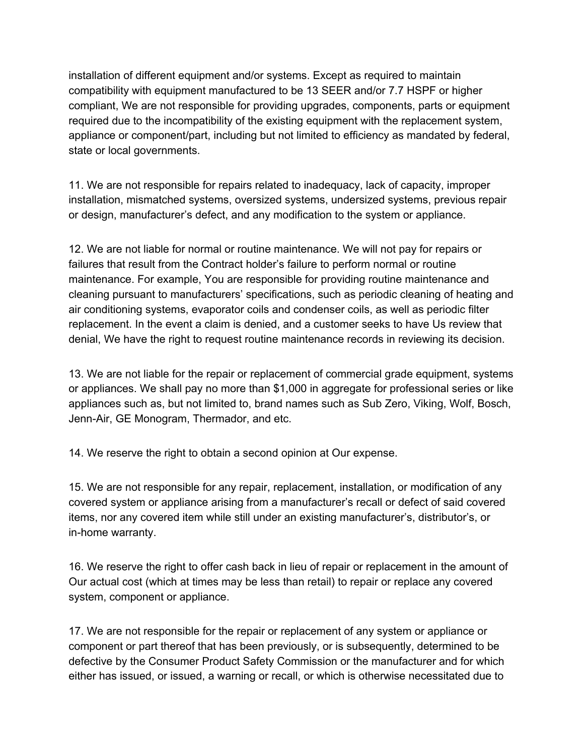installation of different equipment and/or systems. Except as required to maintain compatibility with equipment manufactured to be 13 SEER and/or 7.7 HSPF or higher compliant, We are not responsible for providing upgrades, components, parts or equipment required due to the incompatibility of the existing equipment with the replacement system, appliance or component/part, including but not limited to efficiency as mandated by federal, state or local governments.

11. We are not responsible for repairs related to inadequacy, lack of capacity, improper installation, mismatched systems, oversized systems, undersized systems, previous repair or design, manufacturer's defect, and any modification to the system or appliance.

12. We are not liable for normal or routine maintenance. We will not pay for repairs or failures that result from the Contract holder's failure to perform normal or routine maintenance. For example, You are responsible for providing routine maintenance and cleaning pursuant to manufacturers' specifications, such as periodic cleaning of heating and air conditioning systems, evaporator coils and condenser coils, as well as periodic filter replacement. In the event a claim is denied, and a customer seeks to have Us review that denial, We have the right to request routine maintenance records in reviewing its decision.

13. We are not liable for the repair or replacement of commercial grade equipment, systems or appliances. We shall pay no more than \$1,000 in aggregate for professional series or like appliances such as, but not limited to, brand names such as Sub Zero, Viking, Wolf, Bosch, Jenn-Air, GE Monogram, Thermador, and etc.

14. We reserve the right to obtain a second opinion at Our expense.

15. We are not responsible for any repair, replacement, installation, or modification of any covered system or appliance arising from a manufacturer's recall or defect of said covered items, nor any covered item while still under an existing manufacturer's, distributor's, or in-home warranty.

16. We reserve the right to offer cash back in lieu of repair or replacement in the amount of Our actual cost (which at times may be less than retail) to repair or replace any covered system, component or appliance.

17. We are not responsible for the repair or replacement of any system or appliance or component or part thereof that has been previously, or is subsequently, determined to be defective by the Consumer Product Safety Commission or the manufacturer and for which either has issued, or issued, a warning or recall, or which is otherwise necessitated due to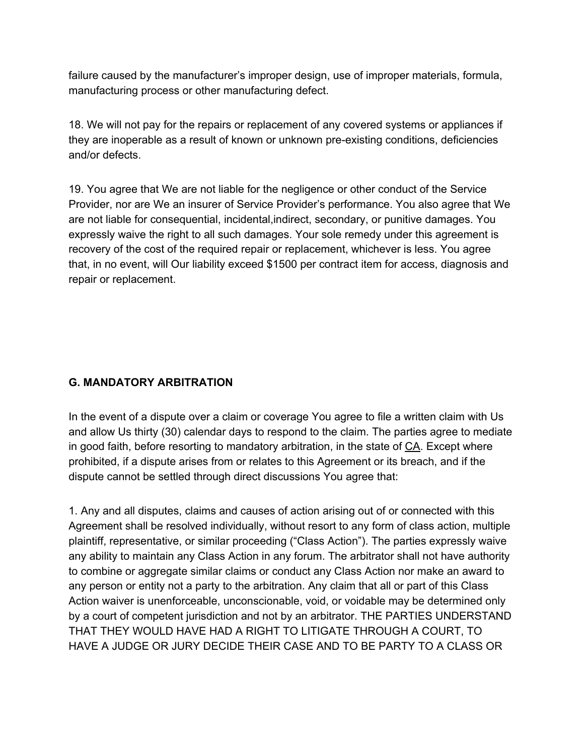failure caused by the manufacturer's improper design, use of improper materials, formula, manufacturing process or other manufacturing defect.

18. We will not pay for the repairs or replacement of any covered systems or appliances if they are inoperable as a result of known or unknown pre-existing conditions, deficiencies and/or defects.

19. You agree that We are not liable for the negligence or other conduct of the Service Provider, nor are We an insurer of Service Provider's performance. You also agree that We are not liable for consequential, incidental,indirect, secondary, or punitive damages. You expressly waive the right to all such damages. Your sole remedy under this agreement is recovery of the cost of the required repair or replacement, whichever is less. You agree that, in no event, will Our liability exceed \$1500 per contract item for access, diagnosis and repair or replacement.

# **G. MANDATORY ARBITRATION**

In the event of a dispute over a claim or coverage You agree to file a written claim with Us and allow Us thirty (30) calendar days to respond to the claim. The parties agree to mediate in good faith, before resorting to mandatory arbitration, in the state of CA. Except where prohibited, if a dispute arises from or relates to this Agreement or its breach, and if the dispute cannot be settled through direct discussions You agree that:

1. Any and all disputes, claims and causes of action arising out of or connected with this Agreement shall be resolved individually, without resort to any form of class action, multiple plaintiff, representative, or similar proceeding ("Class Action"). The parties expressly waive any ability to maintain any Class Action in any forum. The arbitrator shall not have authority to combine or aggregate similar claims or conduct any Class Action nor make an award to any person or entity not a party to the arbitration. Any claim that all or part of this Class Action waiver is unenforceable, unconscionable, void, or voidable may be determined only by a court of competent jurisdiction and not by an arbitrator. THE PARTIES UNDERSTAND THAT THEY WOULD HAVE HAD A RIGHT TO LITIGATE THROUGH A COURT, TO HAVE A JUDGE OR JURY DECIDE THEIR CASE AND TO BE PARTY TO A CLASS OR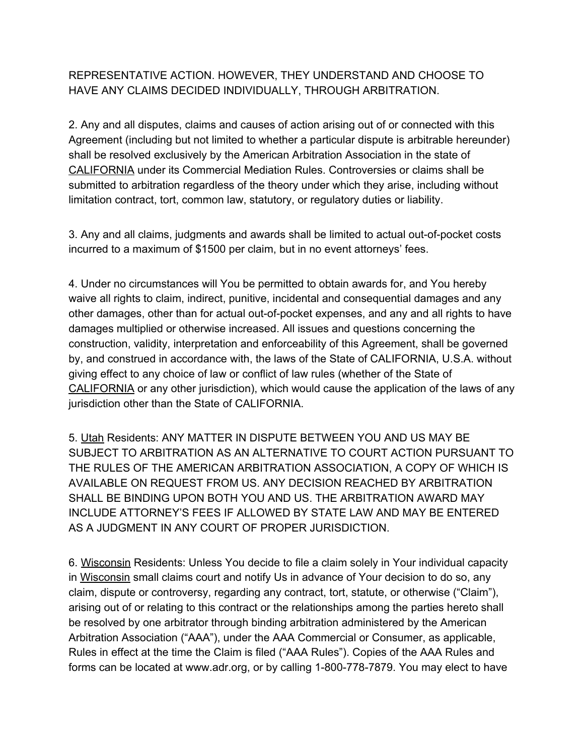# REPRESENTATIVE ACTION. HOWEVER, THEY UNDERSTAND AND CHOOSE TO HAVE ANY CLAIMS DECIDED INDIVIDUALLY, THROUGH ARBITRATION.

2. Any and all disputes, claims and causes of action arising out of or connected with this Agreement (including but not limited to whether a particular dispute is arbitrable hereunder) shall be resolved exclusively by the American Arbitration Association in the state of CALIFORNIA under its Commercial Mediation Rules. Controversies or claims shall be submitted to arbitration regardless of the theory under which they arise, including without limitation contract, tort, common law, statutory, or regulatory duties or liability.

3. Any and all claims, judgments and awards shall be limited to actual out-of-pocket costs incurred to a maximum of \$1500 per claim, but in no event attorneys' fees.

4. Under no circumstances will You be permitted to obtain awards for, and You hereby waive all rights to claim, indirect, punitive, incidental and consequential damages and any other damages, other than for actual out-of-pocket expenses, and any and all rights to have damages multiplied or otherwise increased. All issues and questions concerning the construction, validity, interpretation and enforceability of this Agreement, shall be governed by, and construed in accordance with, the laws of the State of CALIFORNIA, U.S.A. without giving effect to any choice of law or conflict of law rules (whether of the State of CALIFORNIA or any other jurisdiction), which would cause the application of the laws of any jurisdiction other than the State of CALIFORNIA.

5. Utah Residents: ANY MATTER IN DISPUTE BETWEEN YOU AND US MAY BE SUBJECT TO ARBITRATION AS AN ALTERNATIVE TO COURT ACTION PURSUANT TO THE RULES OF THE AMERICAN ARBITRATION ASSOCIATION, A COPY OF WHICH IS AVAILABLE ON REQUEST FROM US. ANY DECISION REACHED BY ARBITRATION SHALL BE BINDING UPON BOTH YOU AND US. THE ARBITRATION AWARD MAY INCLUDE ATTORNEY'S FEES IF ALLOWED BY STATE LAW AND MAY BE ENTERED AS A JUDGMENT IN ANY COURT OF PROPER JURISDICTION.

6. Wisconsin Residents: Unless You decide to file a claim solely in Your individual capacity in Wisconsin small claims court and notify Us in advance of Your decision to do so, any claim, dispute or controversy, regarding any contract, tort, statute, or otherwise ("Claim"), arising out of or relating to this contract or the relationships among the parties hereto shall be resolved by one arbitrator through binding arbitration administered by the American Arbitration Association ("AAA"), under the AAA Commercial or Consumer, as applicable, Rules in effect at the time the Claim is filed ("AAA Rules"). Copies of the AAA Rules and forms can be located at www.adr.org, or by calling 1-800-778-7879. You may elect to have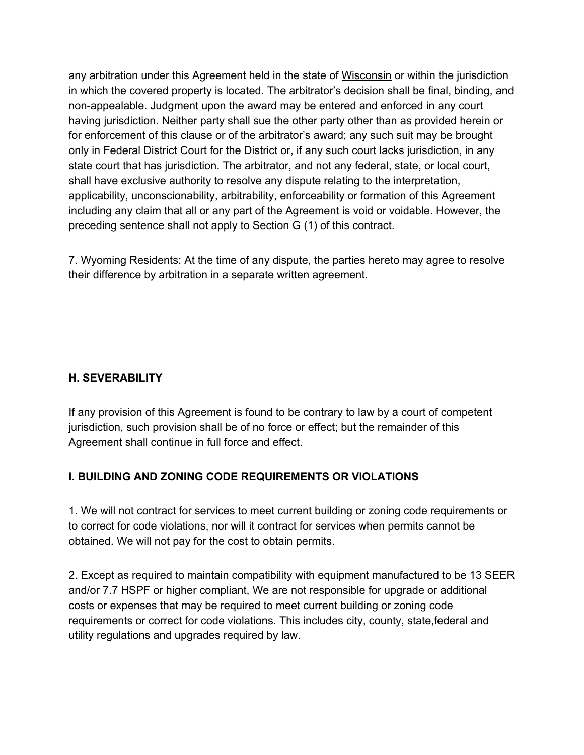any arbitration under this Agreement held in the state of Wisconsin or within the jurisdiction in which the covered property is located. The arbitrator's decision shall be final, binding, and non-appealable. Judgment upon the award may be entered and enforced in any court having jurisdiction. Neither party shall sue the other party other than as provided herein or for enforcement of this clause or of the arbitrator's award; any such suit may be brought only in Federal District Court for the District or, if any such court lacks jurisdiction, in any state court that has jurisdiction. The arbitrator, and not any federal, state, or local court, shall have exclusive authority to resolve any dispute relating to the interpretation, applicability, unconscionability, arbitrability, enforceability or formation of this Agreement including any claim that all or any part of the Agreement is void or voidable. However, the preceding sentence shall not apply to Section G (1) of this contract.

7. Wyoming Residents: At the time of any dispute, the parties hereto may agree to resolve their difference by arbitration in a separate written agreement.

# **H. SEVERABILITY**

If any provision of this Agreement is found to be contrary to law by a court of competent jurisdiction, such provision shall be of no force or effect; but the remainder of this Agreement shall continue in full force and effect.

## **I. BUILDING AND ZONING CODE REQUIREMENTS OR VIOLATIONS**

1. We will not contract for services to meet current building or zoning code requirements or to correct for code violations, nor will it contract for services when permits cannot be obtained. We will not pay for the cost to obtain permits.

2. Except as required to maintain compatibility with equipment manufactured to be 13 SEER and/or 7.7 HSPF or higher compliant, We are not responsible for upgrade or additional costs or expenses that may be required to meet current building or zoning code requirements or correct for code violations. This includes city, county, state,federal and utility regulations and upgrades required by law.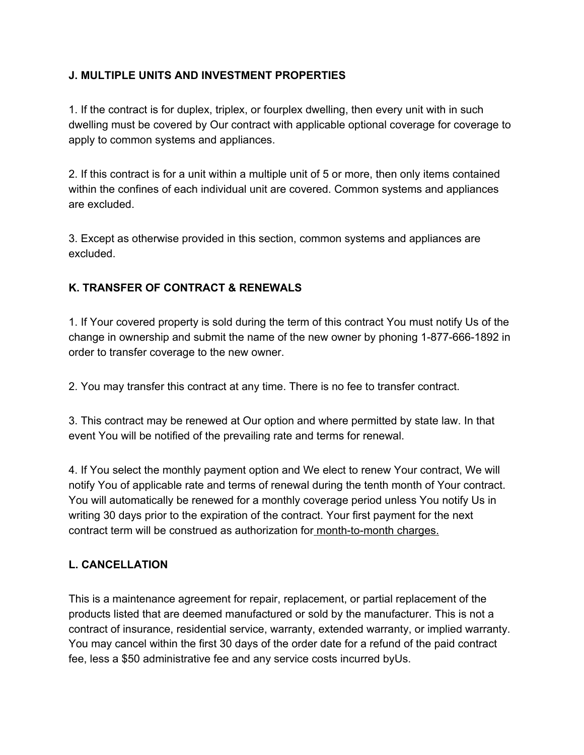# **J. MULTIPLE UNITS AND INVESTMENT PROPERTIES**

1. If the contract is for duplex, triplex, or fourplex dwelling, then every unit with in such dwelling must be covered by Our contract with applicable optional coverage for coverage to apply to common systems and appliances.

2. If this contract is for a unit within a multiple unit of 5 or more, then only items contained within the confines of each individual unit are covered. Common systems and appliances are excluded.

3. Except as otherwise provided in this section, common systems and appliances are excluded.

# **K. TRANSFER OF CONTRACT & RENEWALS**

1. If Your covered property is sold during the term of this contract You must notify Us of the change in ownership and submit the name of the new owner by phoning 1-877-666-1892 in order to transfer coverage to the new owner.

2. You may transfer this contract at any time. There is no fee to transfer contract.

3. This contract may be renewed at Our option and where permitted by state law. In that event You will be notified of the prevailing rate and terms for renewal.

4. If You select the monthly payment option and We elect to renew Your contract, We will notify You of applicable rate and terms of renewal during the tenth month of Your contract. You will automatically be renewed for a monthly coverage period unless You notify Us in writing 30 days prior to the expiration of the contract. Your first payment for the next contract term will be construed as authorization for month-to-month charges.

# **L. CANCELLATION**

This is a maintenance agreement for repair, replacement, or partial replacement of the products listed that are deemed manufactured or sold by the manufacturer. This is not a contract of insurance, residential service, warranty, extended warranty, or implied warranty. You may cancel within the first 30 days of the order date for a refund of the paid contract fee, less a \$50 administrative fee and any service costs incurred byUs.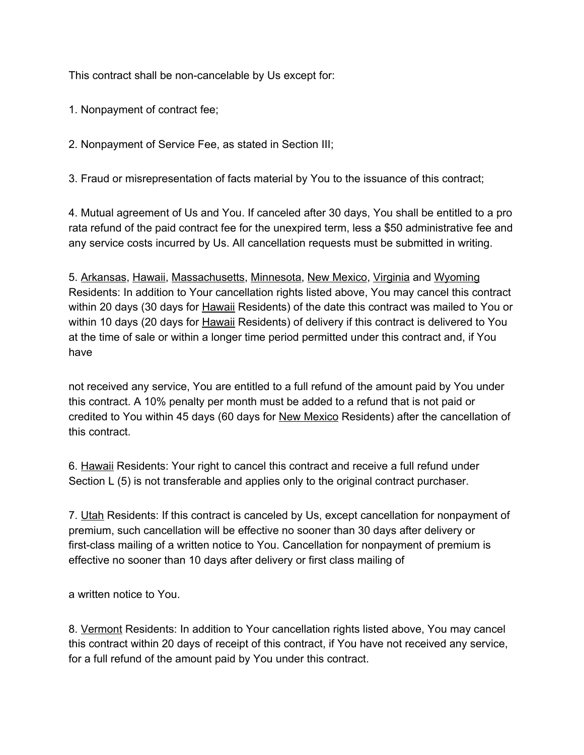This contract shall be non-cancelable by Us except for:

1. Nonpayment of contract fee;

2. Nonpayment of Service Fee, as stated in Section III;

3. Fraud or misrepresentation of facts material by You to the issuance of this contract;

4. Mutual agreement of Us and You. If canceled after 30 days, You shall be entitled to a pro rata refund of the paid contract fee for the unexpired term, less a \$50 administrative fee and any service costs incurred by Us. All cancellation requests must be submitted in writing.

5. Arkansas, Hawaii, Massachusetts, Minnesota, New Mexico, Virginia and Wyoming Residents: In addition to Your cancellation rights listed above, You may cancel this contract within 20 days (30 days for Hawaii Residents) of the date this contract was mailed to You or within 10 days (20 days for Hawaii Residents) of delivery if this contract is delivered to You at the time of sale or within a longer time period permitted under this contract and, if You have

not received any service, You are entitled to a full refund of the amount paid by You under this contract. A 10% penalty per month must be added to a refund that is not paid or credited to You within 45 days (60 days for New Mexico Residents) after the cancellation of this contract.

6. Hawaii Residents: Your right to cancel this contract and receive a full refund under Section L (5) is not transferable and applies only to the original contract purchaser.

7. Utah Residents: If this contract is canceled by Us, except cancellation for nonpayment of premium, such cancellation will be effective no sooner than 30 days after delivery or first-class mailing of a written notice to You. Cancellation for nonpayment of premium is effective no sooner than 10 days after delivery or first class mailing of

a written notice to You.

8. Vermont Residents: In addition to Your cancellation rights listed above, You may cancel this contract within 20 days of receipt of this contract, if You have not received any service, for a full refund of the amount paid by You under this contract.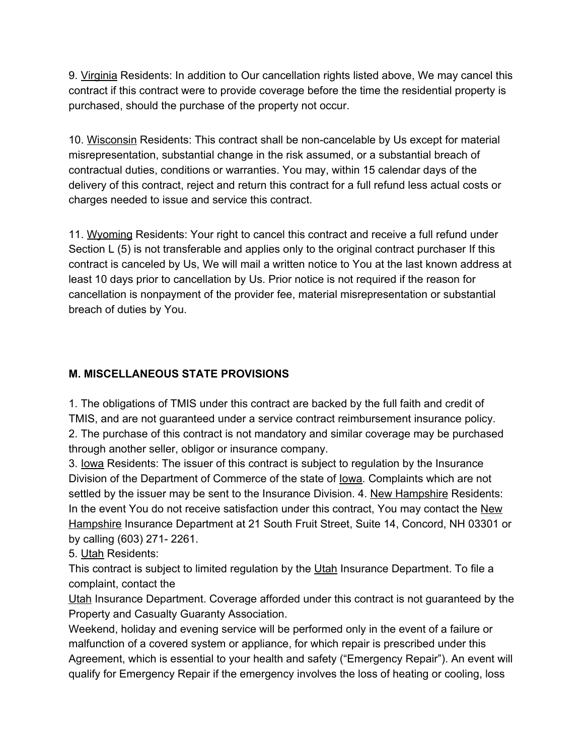9. Virginia Residents: In addition to Our cancellation rights listed above, We may cancel this contract if this contract were to provide coverage before the time the residential property is purchased, should the purchase of the property not occur.

10. Wisconsin Residents: This contract shall be non-cancelable by Us except for material misrepresentation, substantial change in the risk assumed, or a substantial breach of contractual duties, conditions or warranties. You may, within 15 calendar days of the delivery of this contract, reject and return this contract for a full refund less actual costs or charges needed to issue and service this contract.

11. Wyoming Residents: Your right to cancel this contract and receive a full refund under Section L (5) is not transferable and applies only to the original contract purchaser If this contract is canceled by Us, We will mail a written notice to You at the last known address at least 10 days prior to cancellation by Us. Prior notice is not required if the reason for cancellation is nonpayment of the provider fee, material misrepresentation or substantial breach of duties by You.

# **M. MISCELLANEOUS STATE PROVISIONS**

1. The obligations of TMIS under this contract are backed by the full faith and credit of TMIS, and are not guaranteed under a service contract reimbursement insurance policy. 2. The purchase of this contract is not mandatory and similar coverage may be purchased through another seller, obligor or insurance company.

3. Iowa Residents: The issuer of this contract is subject to regulation by the Insurance Division of the Department of Commerce of the state of Iowa. Complaints which are not settled by the issuer may be sent to the Insurance Division. 4. New Hampshire Residents: In the event You do not receive satisfaction under this contract, You may contact the New Hampshire Insurance Department at 21 South Fruit Street, Suite 14, Concord, NH 03301 or by calling (603) 271- 2261.

5. Utah Residents:

This contract is subject to limited regulation by the Utah Insurance Department. To file a complaint, contact the

Utah Insurance Department. Coverage afforded under this contract is not guaranteed by the Property and Casualty Guaranty Association.

Weekend, holiday and evening service will be performed only in the event of a failure or malfunction of a covered system or appliance, for which repair is prescribed under this Agreement, which is essential to your health and safety ("Emergency Repair"). An event will qualify for Emergency Repair if the emergency involves the loss of heating or cooling, loss